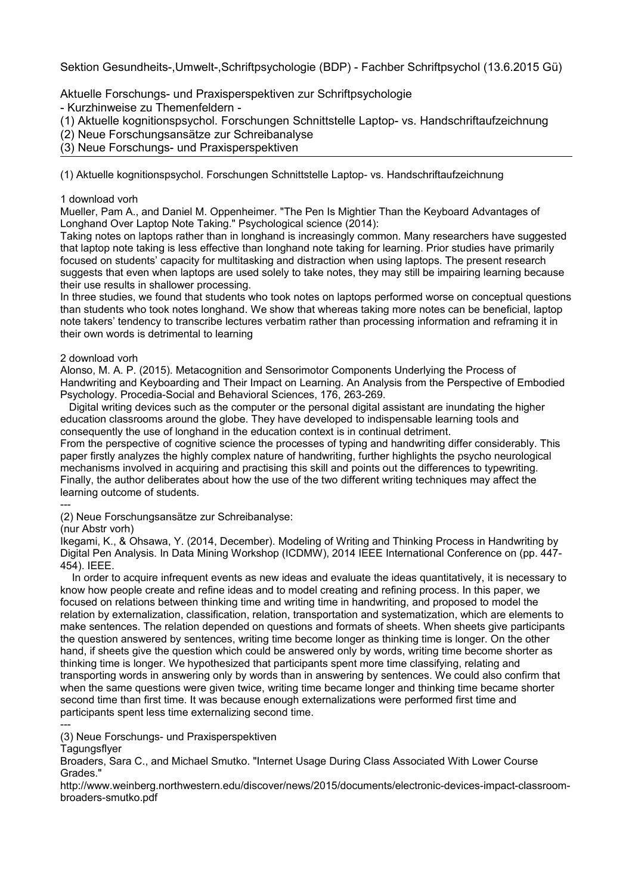Sektion Gesundheits-,Umwelt-,Schriftpsychologie (BDP) - Fachber Schriftpsychol (13.6.2015 Gü)

Aktuelle Forschungs- und Praxisperspektiven zur Schriftpsychologie

- Kurzhinweise zu Themenfeldern -

(1) Aktuelle kognitionspsychol. Forschungen Schnittstelle Laptop- vs. Handschriftaufzeichnung

(2) Neue Forschungsansätze zur Schreibanalyse

(3) Neue Forschungs- und Praxisperspektiven

(1) Aktuelle kognitionspsychol. Forschungen Schnittstelle Laptop- vs. Handschriftaufzeichnung

## 1 download vorh

Mueller, Pam A., and Daniel M. Oppenheimer. "The Pen Is Mightier Than the Keyboard Advantages of Longhand Over Laptop Note Taking." Psychological science (2014):

Taking notes on laptops rather than in longhand is increasingly common. Many researchers have suggested that laptop note taking is less effective than longhand note taking for learning. Prior studies have primarily focused on students' capacity for multitasking and distraction when using laptops. The present research suggests that even when laptops are used solely to take notes, they may still be impairing learning because their use results in shallower processing.

In three studies, we found that students who took notes on laptops performed worse on conceptual questions than students who took notes longhand. We show that whereas taking more notes can be beneficial, laptop note takers' tendency to transcribe lectures verbatim rather than processing information and reframing it in their own words is detrimental to learning

## 2 download vorh

Alonso, M. A. P. (2015). Metacognition and Sensorimotor Components Underlying the Process of Handwriting and Keyboarding and Their Impact on Learning. An Analysis from the Perspective of Embodied Psychology. Procedia-Social and Behavioral Sciences, 176, 263-269.

 Digital writing devices such as the computer or the personal digital assistant are inundating the higher education classrooms around the globe. They have developed to indispensable learning tools and consequently the use of longhand in the education context is in continual detriment.

From the perspective of cognitive science the processes of typing and handwriting differ considerably. This paper firstly analyzes the highly complex nature of handwriting, further highlights the psycho neurological mechanisms involved in acquiring and practising this skill and points out the differences to typewriting. Finally, the author deliberates about how the use of the two different writing techniques may affect the learning outcome of students.

--- (2) Neue Forschungsansätze zur Schreibanalyse:

(nur Abstr vorh)

Ikegami, K., & Ohsawa, Y. (2014, December). Modeling of Writing and Thinking Process in Handwriting by Digital Pen Analysis. In Data Mining Workshop (ICDMW), 2014 IEEE International Conference on (pp. 447- 454). IEEE.

 In order to acquire infrequent events as new ideas and evaluate the ideas quantitatively, it is necessary to know how people create and refine ideas and to model creating and refining process. In this paper, we focused on relations between thinking time and writing time in handwriting, and proposed to model the relation by externalization, classification, relation, transportation and systematization, which are elements to make sentences. The relation depended on questions and formats of sheets. When sheets give participants the question answered by sentences, writing time become longer as thinking time is longer. On the other hand, if sheets give the question which could be answered only by words, writing time become shorter as thinking time is longer. We hypothesized that participants spent more time classifying, relating and transporting words in answering only by words than in answering by sentences. We could also confirm that when the same questions were given twice, writing time became longer and thinking time became shorter second time than first time. It was because enough externalizations were performed first time and participants spent less time externalizing second time.

--- (3) Neue Forschungs- und Praxisperspektiven

**Tagungsflyer** 

Broaders, Sara C., and Michael Smutko. "Internet Usage During Class Associated With Lower Course Grades."

http://www.weinberg.northwestern.edu/discover/news/2015/documents/electronic-devices-impact-classroombroaders-smutko.pdf